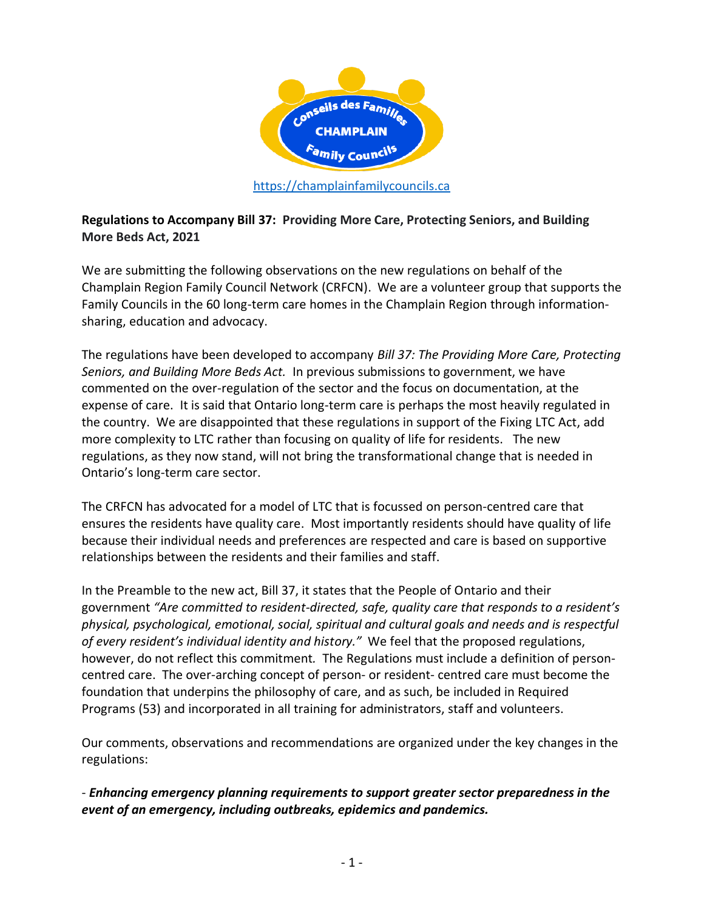

**Regulations to Accompany Bill 37: Providing More Care, Protecting Seniors, and Building More Beds Act, 2021**

We are submitting the following observations on the new regulations on behalf of the Champlain Region Family Council Network (CRFCN). We are a volunteer group that supports the Family Councils in the 60 long-term care homes in the Champlain Region through informationsharing, education and advocacy.

The regulations have been developed to accompany *Bill 37: The Providing More Care, Protecting Seniors, and Building More Beds Act.* In previous submissions to government, we have commented on the over-regulation of the sector and the focus on documentation, at the expense of care. It is said that Ontario long-term care is perhaps the most heavily regulated in the country. We are disappointed that these regulations in support of the Fixing LTC Act, add more complexity to LTC rather than focusing on quality of life for residents. The new regulations, as they now stand, will not bring the transformational change that is needed in Ontario's long-term care sector.

The CRFCN has advocated for a model of LTC that is focussed on person-centred care that ensures the residents have quality care. Most importantly residents should have quality of life because their individual needs and preferences are respected and care is based on supportive relationships between the residents and their families and staff.

In the Preamble to the new act, Bill 37, it states that the People of Ontario and their government *"Are committed to resident-directed, safe, quality care that responds to a resident's physical, psychological, emotional, social, spiritual and cultural goals and needs and is respectful of every resident's individual identity and history."* We feel that the proposed regulations, however, do not reflect this commitment*.* The Regulations must include a definition of personcentred care. The over-arching concept of person- or resident- centred care must become the foundation that underpins the philosophy of care, and as such, be included in Required Programs (53) and incorporated in all training for administrators, staff and volunteers.

Our comments, observations and recommendations are organized under the key changes in the regulations:

- *Enhancing emergency planning requirements to support greater sector preparedness in the event of an emergency, including outbreaks, epidemics and pandemics.*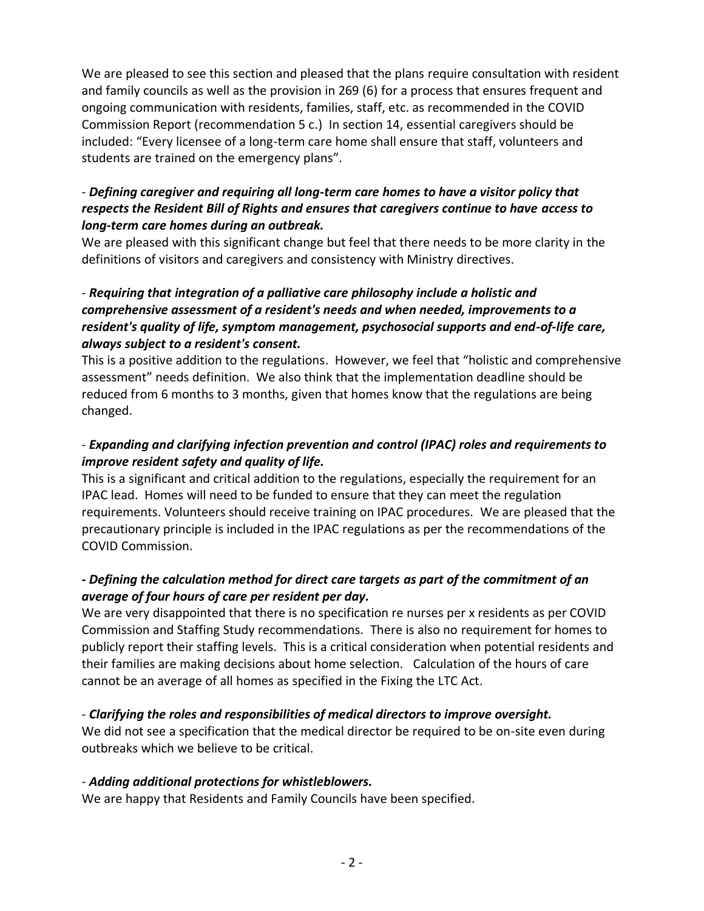We are pleased to see this section and pleased that the plans require consultation with resident and family councils as well as the provision in 269 (6) for a process that ensures frequent and ongoing communication with residents, families, staff, etc. as recommended in the COVID Commission Report (recommendation 5 c.) In section 14, essential caregivers should be included: "Every licensee of a long-term care home shall ensure that staff, volunteers and students are trained on the emergency plans".

## - *Defining caregiver and requiring all long-term care homes to have a visitor policy that respects the Resident Bill of Rights and ensures that caregivers continue to have access to long-term care homes during an outbreak.*

We are pleased with this significant change but feel that there needs to be more clarity in the definitions of visitors and caregivers and consistency with Ministry directives.

## - *Requiring that integration of a palliative care philosophy include a holistic and comprehensive assessment of a resident's needs and when needed, improvements to a resident's quality of life, symptom management, psychosocial supports and end-of-life care, always subject to a resident's consent.*

This is a positive addition to the regulations. However, we feel that "holistic and comprehensive assessment" needs definition. We also think that the implementation deadline should be reduced from 6 months to 3 months, given that homes know that the regulations are being changed.

# - *Expanding and clarifying infection prevention and control (IPAC) roles and requirements to improve resident safety and quality of life.*

This is a significant and critical addition to the regulations, especially the requirement for an IPAC lead. Homes will need to be funded to ensure that they can meet the regulation requirements. Volunteers should receive training on IPAC procedures. We are pleased that the precautionary principle is included in the IPAC regulations as per the recommendations of the COVID Commission.

# **-** *Defining the calculation method for direct care targets as part of the commitment of an average of four hours of care per resident per day.*

We are very disappointed that there is no specification re nurses per x residents as per COVID Commission and Staffing Study recommendations. There is also no requirement for homes to publicly report their staffing levels. This is a critical consideration when potential residents and their families are making decisions about home selection. Calculation of the hours of care cannot be an average of all homes as specified in the Fixing the LTC Act.

# - *Clarifying the roles and responsibilities of medical directors to improve oversight.*

We did not see a specification that the medical director be required to be on-site even during outbreaks which we believe to be critical.

## - *Adding additional protections for whistleblowers.*

We are happy that Residents and Family Councils have been specified.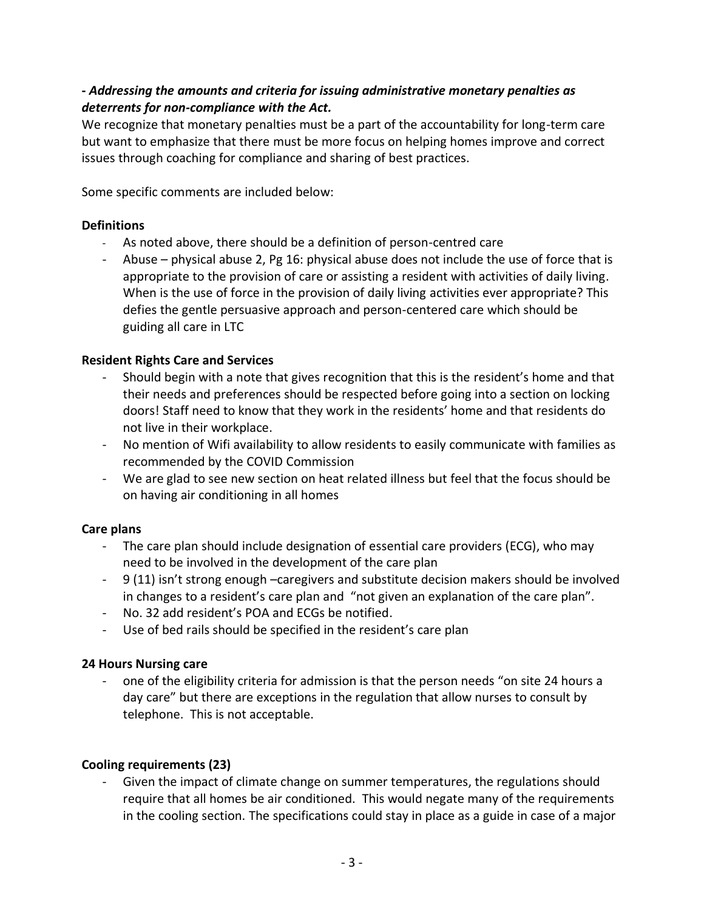# **-** *Addressing the amounts and criteria for issuing administrative monetary penalties as deterrents for non-compliance with the Act.*

We recognize that monetary penalties must be a part of the accountability for long-term care but want to emphasize that there must be more focus on helping homes improve and correct issues through coaching for compliance and sharing of best practices.

Some specific comments are included below:

## **Definitions**

- As noted above, there should be a definition of person-centred care
- Abuse physical abuse 2, Pg 16: physical abuse does not include the use of force that is appropriate to the provision of care or assisting a resident with activities of daily living. When is the use of force in the provision of daily living activities ever appropriate? This defies the gentle persuasive approach and person-centered care which should be guiding all care in LTC

## **Resident Rights Care and Services**

- Should begin with a note that gives recognition that this is the resident's home and that their needs and preferences should be respected before going into a section on locking doors! Staff need to know that they work in the residents' home and that residents do not live in their workplace.
- No mention of Wifi availability to allow residents to easily communicate with families as recommended by the COVID Commission
- We are glad to see new section on heat related illness but feel that the focus should be on having air conditioning in all homes

# **Care plans**

- The care plan should include designation of essential care providers (ECG), who may need to be involved in the development of the care plan
- 9 (11) isn't strong enough –caregivers and substitute decision makers should be involved in changes to a resident's care plan and "not given an explanation of the care plan".
- No. 32 add resident's POA and ECGs be notified.
- Use of bed rails should be specified in the resident's care plan

## **24 Hours Nursing care**

one of the eligibility criteria for admission is that the person needs "on site 24 hours a day care" but there are exceptions in the regulation that allow nurses to consult by telephone. This is not acceptable.

# **Cooling requirements (23)**

Given the impact of climate change on summer temperatures, the regulations should require that all homes be air conditioned. This would negate many of the requirements in the cooling section. The specifications could stay in place as a guide in case of a major